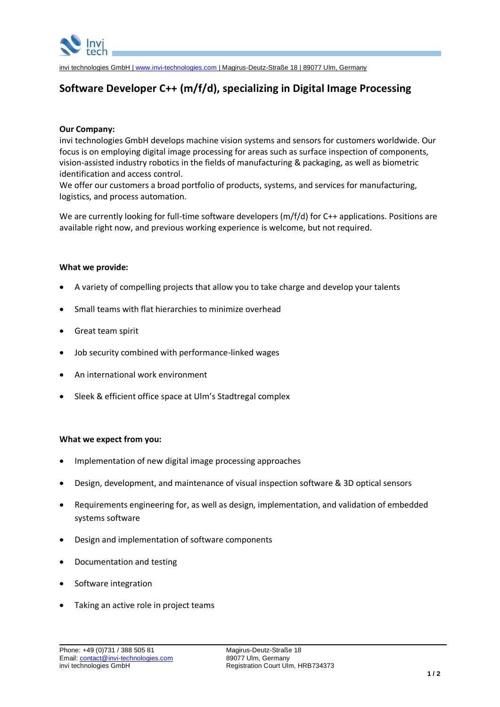

invi technologies GmbH | [www.invi-technologies.com](http://www.invi-technologies.com/) | Magirus-Deutz-Straße 18 | 89077 Ulm, Germany

# **Software Developer C++ (m/f/d), specializing in Digital Image Processing**

# **Our Company:**

invi technologies GmbH develops machine vision systems and sensors for customers worldwide. Our focus is on employing digital image processing for areas such as surface inspection of components, vision-assisted industry robotics in the fields of manufacturing & packaging, as well as biometric identification and access control.

We offer our customers a broad portfolio of products, systems, and services for manufacturing, logistics, and process automation.

We are currently looking for full-time software developers (m/f/d) for C++ applications. Positions are available right now, and previous working experience is welcome, but not required.

## **What we provide:**

- A variety of compelling projects that allow you to take charge and develop your talents
- Small teams with flat hierarchies to minimize overhead
- Great team spirit
- Job security combined with performance-linked wages
- An international work environment
- Sleek & efficient office space at Ulm's Stadtregal complex

#### **What we expect from you:**

- Implementation of new digital image processing approaches
- Design, development, and maintenance of visual inspection software & 3D optical sensors
- Requirements engineering for, as well as design, implementation, and validation of embedded systems software
- Design and implementation of software components
- Documentation and testing
- Software integration
- Taking an active role in project teams